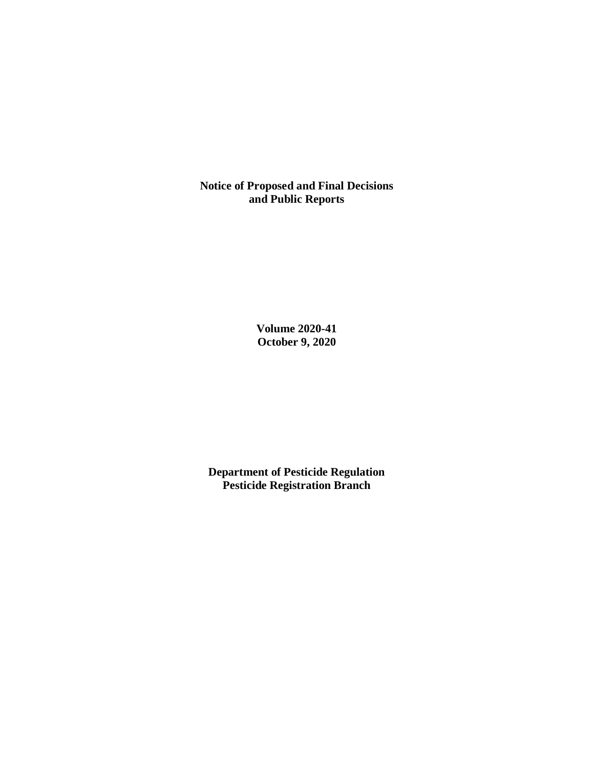**Notice of Proposed and Final Decisions and Public Reports**

> **Volume 2020-41 October 9, 2020**

**Department of Pesticide Regulation Pesticide Registration Branch**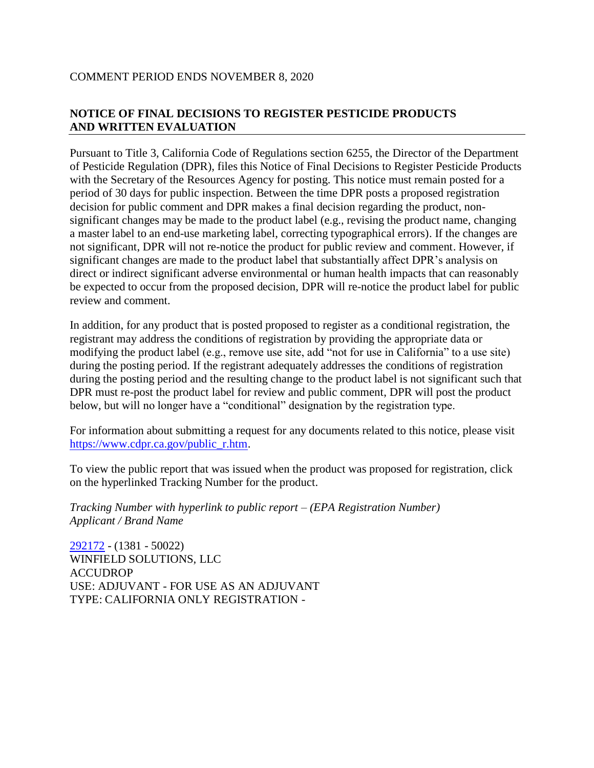#### COMMENT PERIOD ENDS NOVEMBER 8, 2020

# **NOTICE OF FINAL DECISIONS TO REGISTER PESTICIDE PRODUCTS AND WRITTEN EVALUATION**

Pursuant to Title 3, California Code of Regulations section 6255, the Director of the Department of Pesticide Regulation (DPR), files this Notice of Final Decisions to Register Pesticide Products with the Secretary of the Resources Agency for posting. This notice must remain posted for a period of 30 days for public inspection. Between the time DPR posts a proposed registration decision for public comment and DPR makes a final decision regarding the product, nonsignificant changes may be made to the product label (e.g., revising the product name, changing a master label to an end-use marketing label, correcting typographical errors). If the changes are not significant, DPR will not re-notice the product for public review and comment. However, if significant changes are made to the product label that substantially affect DPR's analysis on direct or indirect significant adverse environmental or human health impacts that can reasonably be expected to occur from the proposed decision, DPR will re-notice the product label for public review and comment.

In addition, for any product that is posted proposed to register as a conditional registration, the registrant may address the conditions of registration by providing the appropriate data or modifying the product label (e.g., remove use site, add "not for use in California" to a use site) during the posting period. If the registrant adequately addresses the conditions of registration during the posting period and the resulting change to the product label is not significant such that DPR must re-post the product label for review and public comment, DPR will post the product below, but will no longer have a "conditional" designation by the registration type.

For information about submitting a request for any documents related to this notice, please visit [https://www.cdpr.ca.gov/public\\_r.htm.](https://www.cdpr.ca.gov/public_r.htm)

To view the public report that was issued when the product was proposed for registration, click on the hyperlinked Tracking Number for the product.

*Tracking Number with hyperlink to public report – (EPA Registration Number) Applicant / Brand Name*

[292172](https://www.cdpr.ca.gov/docs/registration/nod/public_reports/292172.pdf) - (1381 - 50022) WINFIELD SOLUTIONS, LLC ACCUDROP USE: ADJUVANT - FOR USE AS AN ADJUVANT TYPE: CALIFORNIA ONLY REGISTRATION -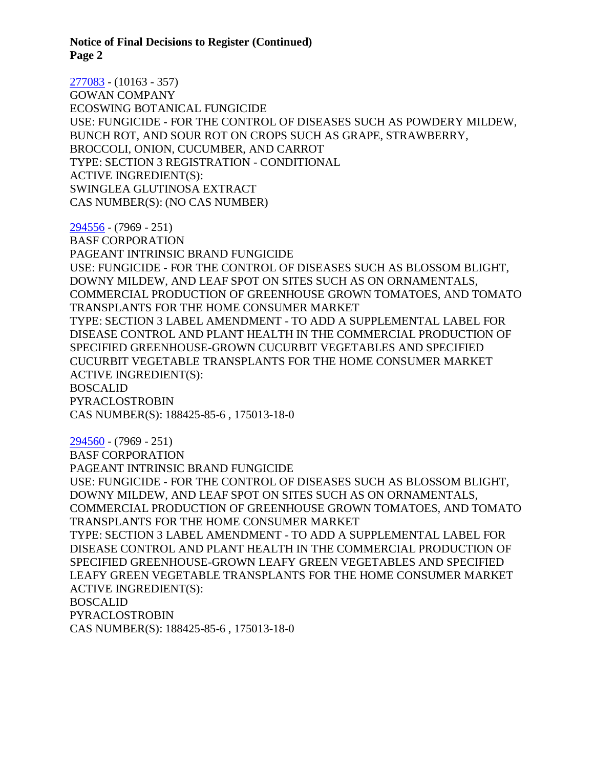[277083](https://www.cdpr.ca.gov/docs/registration/nod/public_reports/277083.pdf) - (10163 - 357) GOWAN COMPANY ECOSWING BOTANICAL FUNGICIDE USE: FUNGICIDE - FOR THE CONTROL OF DISEASES SUCH AS POWDERY MILDEW, BUNCH ROT, AND SOUR ROT ON CROPS SUCH AS GRAPE, STRAWBERRY, BROCCOLI, ONION, CUCUMBER, AND CARROT TYPE: SECTION 3 REGISTRATION - CONDITIONAL ACTIVE INGREDIENT(S): SWINGLEA GLUTINOSA EXTRACT CAS NUMBER(S): (NO CAS NUMBER)

[294556](https://www.cdpr.ca.gov/docs/registration/nod/public_reports/294556.pdf) - (7969 - 251)

BASF CORPORATION PAGEANT INTRINSIC BRAND FUNGICIDE USE: FUNGICIDE - FOR THE CONTROL OF DISEASES SUCH AS BLOSSOM BLIGHT, DOWNY MILDEW, AND LEAF SPOT ON SITES SUCH AS ON ORNAMENTALS, COMMERCIAL PRODUCTION OF GREENHOUSE GROWN TOMATOES, AND TOMATO TRANSPLANTS FOR THE HOME CONSUMER MARKET TYPE: SECTION 3 LABEL AMENDMENT - TO ADD A SUPPLEMENTAL LABEL FOR DISEASE CONTROL AND PLANT HEALTH IN THE COMMERCIAL PRODUCTION OF SPECIFIED GREENHOUSE-GROWN CUCURBIT VEGETABLES AND SPECIFIED CUCURBIT VEGETABLE TRANSPLANTS FOR THE HOME CONSUMER MARKET ACTIVE INGREDIENT(S): BOSCALID PYRACLOSTROBIN CAS NUMBER(S): 188425-85-6 , 175013-18-0

[294560](https://www.cdpr.ca.gov/docs/registration/nod/public_reports/294560.pdf) - (7969 - 251)

BASF CORPORATION

PAGEANT INTRINSIC BRAND FUNGICIDE USE: FUNGICIDE - FOR THE CONTROL OF DISEASES SUCH AS BLOSSOM BLIGHT, DOWNY MILDEW, AND LEAF SPOT ON SITES SUCH AS ON ORNAMENTALS, COMMERCIAL PRODUCTION OF GREENHOUSE GROWN TOMATOES, AND TOMATO TRANSPLANTS FOR THE HOME CONSUMER MARKET

TYPE: SECTION 3 LABEL AMENDMENT - TO ADD A SUPPLEMENTAL LABEL FOR DISEASE CONTROL AND PLANT HEALTH IN THE COMMERCIAL PRODUCTION OF SPECIFIED GREENHOUSE-GROWN LEAFY GREEN VEGETABLES AND SPECIFIED LEAFY GREEN VEGETABLE TRANSPLANTS FOR THE HOME CONSUMER MARKET ACTIVE INGREDIENT(S): BOSCALID PYRACLOSTROBIN CAS NUMBER(S): 188425-85-6 , 175013-18-0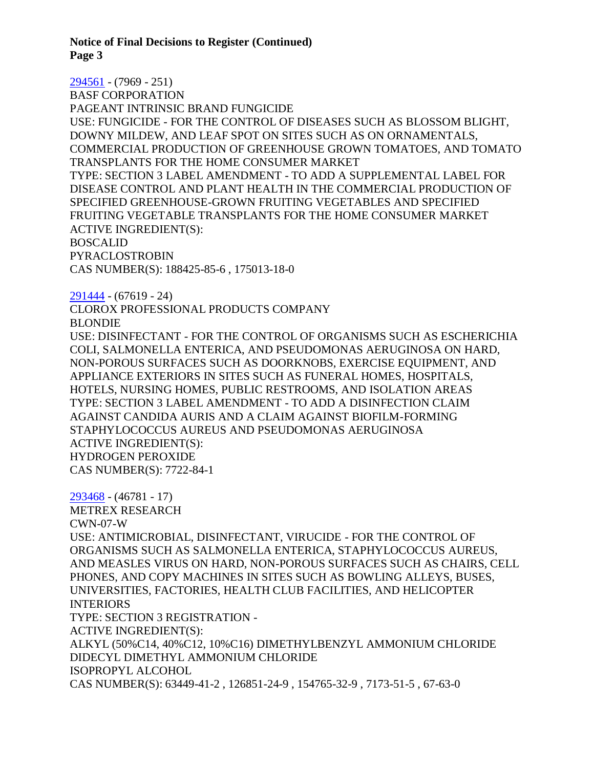[294561](https://www.cdpr.ca.gov/docs/registration/nod/public_reports/294561.pdf) - (7969 - 251) BASF CORPORATION PAGEANT INTRINSIC BRAND FUNGICIDE USE: FUNGICIDE - FOR THE CONTROL OF DISEASES SUCH AS BLOSSOM BLIGHT, DOWNY MILDEW, AND LEAF SPOT ON SITES SUCH AS ON ORNAMENTALS, COMMERCIAL PRODUCTION OF GREENHOUSE GROWN TOMATOES, AND TOMATO TRANSPLANTS FOR THE HOME CONSUMER MARKET TYPE: SECTION 3 LABEL AMENDMENT - TO ADD A SUPPLEMENTAL LABEL FOR DISEASE CONTROL AND PLANT HEALTH IN THE COMMERCIAL PRODUCTION OF SPECIFIED GREENHOUSE-GROWN FRUITING VEGETABLES AND SPECIFIED FRUITING VEGETABLE TRANSPLANTS FOR THE HOME CONSUMER MARKET ACTIVE INGREDIENT(S): BOSCALID PYRACLOSTROBIN CAS NUMBER(S): 188425-85-6 , 175013-18-0 [291444](https://www.cdpr.ca.gov/docs/registration/nod/public_reports/291444.pdf) - (67619 - 24) CLOROX PROFESSIONAL PRODUCTS COMPANY BLONDIE USE: DISINFECTANT - FOR THE CONTROL OF ORGANISMS SUCH AS ESCHERICHIA COLI, SALMONELLA ENTERICA, AND PSEUDOMONAS AERUGINOSA ON HARD, NON-POROUS SURFACES SUCH AS DOORKNOBS, EXERCISE EQUIPMENT, AND APPLIANCE EXTERIORS IN SITES SUCH AS FUNERAL HOMES, HOSPITALS, HOTELS, NURSING HOMES, PUBLIC RESTROOMS, AND ISOLATION AREAS TYPE: SECTION 3 LABEL AMENDMENT - TO ADD A DISINFECTION CLAIM AGAINST CANDIDA AURIS AND A CLAIM AGAINST BIOFILM-FORMING STAPHYLOCOCCUS AUREUS AND PSEUDOMONAS AERUGINOSA

ACTIVE INGREDIENT(S): HYDROGEN PEROXIDE CAS NUMBER(S): 7722-84-1

[293468](https://www.cdpr.ca.gov/docs/registration/nod/public_reports/293468.pdf) - (46781 - 17) METREX RESEARCH CWN-07-W USE: ANTIMICROBIAL, DISINFECTANT, VIRUCIDE - FOR THE CONTROL OF ORGANISMS SUCH AS SALMONELLA ENTERICA, STAPHYLOCOCCUS AUREUS, AND MEASLES VIRUS ON HARD, NON-POROUS SURFACES SUCH AS CHAIRS, CELL PHONES, AND COPY MACHINES IN SITES SUCH AS BOWLING ALLEYS, BUSES, UNIVERSITIES, FACTORIES, HEALTH CLUB FACILITIES, AND HELICOPTER INTERIORS TYPE: SECTION 3 REGISTRATION - ACTIVE INGREDIENT(S): ALKYL (50%C14, 40%C12, 10%C16) DIMETHYLBENZYL AMMONIUM CHLORIDE DIDECYL DIMETHYL AMMONIUM CHLORIDE ISOPROPYL ALCOHOL CAS NUMBER(S): 63449-41-2 , 126851-24-9 , 154765-32-9 , 7173-51-5 , 67-63-0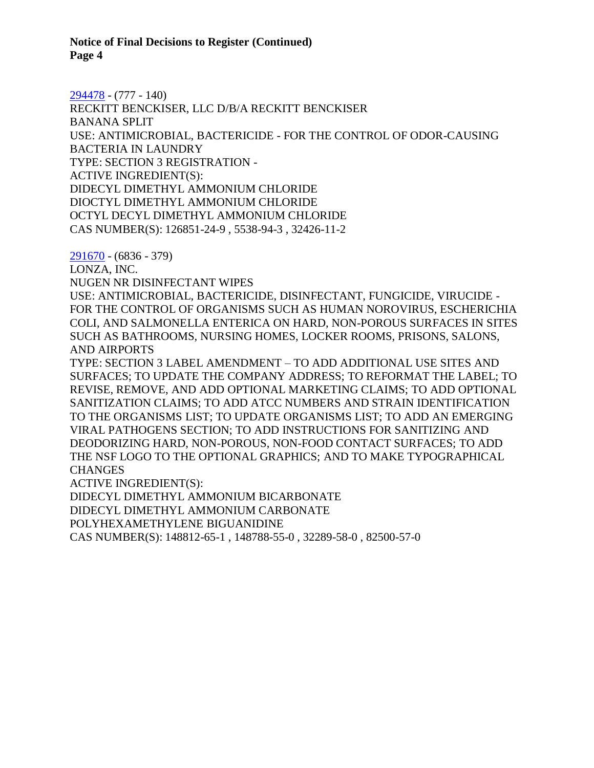[294478](https://www.cdpr.ca.gov/docs/registration/nod/public_reports/294478.pdf) - (777 - 140) RECKITT BENCKISER, LLC D/B/A RECKITT BENCKISER BANANA SPLIT USE: ANTIMICROBIAL, BACTERICIDE - FOR THE CONTROL OF ODOR-CAUSING BACTERIA IN LAUNDRY TYPE: SECTION 3 REGISTRATION - ACTIVE INGREDIENT(S): DIDECYL DIMETHYL AMMONIUM CHLORIDE DIOCTYL DIMETHYL AMMONIUM CHLORIDE OCTYL DECYL DIMETHYL AMMONIUM CHLORIDE CAS NUMBER(S): 126851-24-9 , 5538-94-3 , 32426-11-2

[291670](https://www.cdpr.ca.gov/docs/registration/nod/public_reports/291670.pdf) - (6836 - 379)

LONZA, INC.

NUGEN NR DISINFECTANT WIPES

USE: ANTIMICROBIAL, BACTERICIDE, DISINFECTANT, FUNGICIDE, VIRUCIDE - FOR THE CONTROL OF ORGANISMS SUCH AS HUMAN NOROVIRUS, ESCHERICHIA COLI, AND SALMONELLA ENTERICA ON HARD, NON-POROUS SURFACES IN SITES SUCH AS BATHROOMS, NURSING HOMES, LOCKER ROOMS, PRISONS, SALONS, AND AIRPORTS

TYPE: SECTION 3 LABEL AMENDMENT – TO ADD ADDITIONAL USE SITES AND SURFACES; TO UPDATE THE COMPANY ADDRESS; TO REFORMAT THE LABEL; TO REVISE, REMOVE, AND ADD OPTIONAL MARKETING CLAIMS; TO ADD OPTIONAL SANITIZATION CLAIMS; TO ADD ATCC NUMBERS AND STRAIN IDENTIFICATION TO THE ORGANISMS LIST; TO UPDATE ORGANISMS LIST; TO ADD AN EMERGING VIRAL PATHOGENS SECTION; TO ADD INSTRUCTIONS FOR SANITIZING AND DEODORIZING HARD, NON-POROUS, NON-FOOD CONTACT SURFACES; TO ADD THE NSF LOGO TO THE OPTIONAL GRAPHICS; AND TO MAKE TYPOGRAPHICAL **CHANGES** 

ACTIVE INGREDIENT(S):

DIDECYL DIMETHYL AMMONIUM BICARBONATE

DIDECYL DIMETHYL AMMONIUM CARBONATE

POLYHEXAMETHYLENE BIGUANIDINE

CAS NUMBER(S): 148812-65-1 , 148788-55-0 , 32289-58-0 , 82500-57-0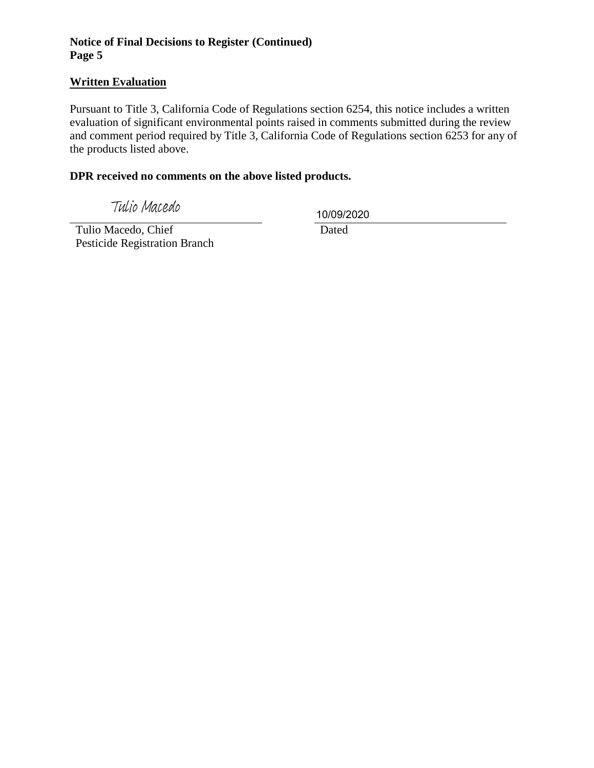# **Written Evaluation**

Pursuant to Title 3, California Code of Regulations section 6254, this notice includes a written evaluation of significant environmental points raised in comments submitted during the review and comment period required by Title 3, California Code of Regulations section 6253 for any of the products listed above.

### **DPR received no comments on the above listed products.**

Tulio Macedo

10/09/2020

 Tulio Macedo, Chief Pesticide Registration Branch

Dated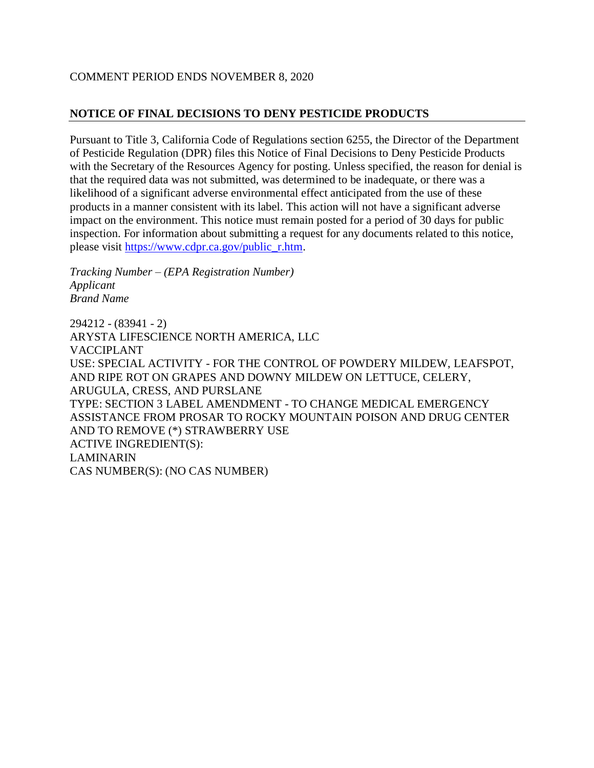# COMMENT PERIOD ENDS NOVEMBER 8, 2020

### **NOTICE OF FINAL DECISIONS TO DENY PESTICIDE PRODUCTS**

Pursuant to Title 3, California Code of Regulations section 6255, the Director of the Department of Pesticide Regulation (DPR) files this Notice of Final Decisions to Deny Pesticide Products with the Secretary of the Resources Agency for posting. Unless specified, the reason for denial is that the required data was not submitted, was determined to be inadequate, or there was a likelihood of a significant adverse environmental effect anticipated from the use of these products in a manner consistent with its label. This action will not have a significant adverse impact on the environment. This notice must remain posted for a period of 30 days for public inspection. For information about submitting a request for any documents related to this notice, please visit [https://www.cdpr.ca.gov/public\\_r.htm.](https://www.cdpr.ca.gov/public_r.htm)

*Tracking Number – (EPA Registration Number) Applicant Brand Name*

294212 - (83941 - 2) ARYSTA LIFESCIENCE NORTH AMERICA, LLC VACCIPLANT USE: SPECIAL ACTIVITY - FOR THE CONTROL OF POWDERY MILDEW, LEAFSPOT, AND RIPE ROT ON GRAPES AND DOWNY MILDEW ON LETTUCE, CELERY, ARUGULA, CRESS, AND PURSLANE TYPE: SECTION 3 LABEL AMENDMENT - TO CHANGE MEDICAL EMERGENCY ASSISTANCE FROM PROSAR TO ROCKY MOUNTAIN POISON AND DRUG CENTER AND TO REMOVE (\*) STRAWBERRY USE ACTIVE INGREDIENT(S): LAMINARIN CAS NUMBER(S): (NO CAS NUMBER)